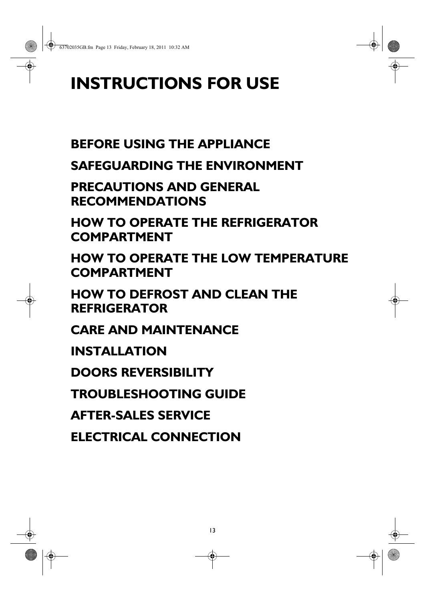# **INSTRUCTIONS FOR USE**

# **BEFORE USING THE APPLIANCE**

**SAFEGUARDING THE ENVIRONMENT**

**PRECAUTIONS AND GENERAL RECOMMENDATIONS**

**HOW TO OPERATE THE REFRIGERATOR COMPARTMENT**

**HOW TO OPERATE THE LOW TEMPERATURE COMPARTMENT**

13

**HOW TO DEFROST AND CLEAN THE REFRIGERATOR**

**CARE AND MAINTENANCE**

**INSTALLATION**

**DOORS REVERSIBILITY**

**TROUBLESHOOTING GUIDE**

**AFTER-SALES SERVICE**

**ELECTRICAL CONNECTION**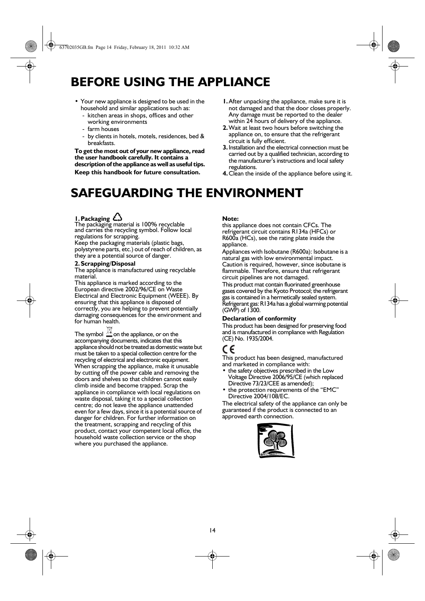### **BEFORE USING THE APPLIANCE**

- **•** Your new appliance is designed to be used in the household and similar applications such as:
	- kitchen areas in shops, offices and other working environments
	- farm houses
	- by clients in hotels, motels, residences, bed & breakfasts.

**To get the most out of your new appliance, read the user handbook carefully. It contains a description of the appliance as well as useful tips. Keep this handbook for future consultation.**

- **1.**After unpacking the appliance, make sure it is not damaged and that the door closes properly. Any damage must be reported to the dealer within 24 hours of delivery of the appliance.
- **2.**Wait at least two hours before switching the appliance on, to ensure that the refrigerant circuit is fully efficient.
- **3.**Installation and the electrical connection must be carried out by a qualified technician, according to the manufacturer's instructions and local safety regulations.
- **4.**Clean the inside of the appliance before using it.

### **SAFEGUARDING THE ENVIRONMENT**

### **1.Packaging**

The packaging material is 100% recyclable and carries the recycling symbol. Follow local regulations for scrapping.

Keep the packaging materials (plastic bags, polystyrene parts, etc.) out of reach of children, as they are a potential source of danger.

#### **2.Scrapping/Disposal**

The appliance is manufactured using recyclable material.

This appliance is marked according to the European directive 2002/96/CE on Waste Electrical and Electronic Equipment (WEEE). By ensuring that this appliance is disposed of correctly, you are helping to prevent potentially damaging consequences for the environment and for human health.

The symbol  $\mathbb{X}$  on the appliance, or on the accompanying documents, indicates that this appliance should not be treated as domestic waste but must be taken to a special collection centre for the recycling of electrical and electronic equipment. When scrapping the appliance, make it unusable by cutting off the power cable and removing the doors and shelves so that children cannot easily climb inside and become trapped. Scrap the appliance in compliance with local regulations on waste disposal, taking it to a special collection centre; do not leave the appliance unattended even for a few days, since it is a potential source of danger for children. For further information on the treatment, scrapping and recycling of this product, contact your competent local office, the household waste collection service or the shop where you purchased the appliance.

#### **Note:**

this appliance does not contain CFCs. The refrigerant circuit contains R134a (HFCs) or R600a (HCs), see the rating plate inside the appliance.

Appliances with Isobutane (R600a): Isobutane is a natural gas with low environmental impact. Caution is required, however, since isobutane is flammable. Therefore, ensure that refrigerant circuit pipelines are not damaged.

This product mat contain fluorinated greenhouse gases covered by the Kyoto Protocol; the refrigerant gas is contained in a hermetically sealed system. Refrigerant gas: R134a has a global warming potential  $(GWP)$  of  $1300$ .

#### **Declaration of conformity**

This product has been designed for preserving food and is manufactured in compliance with Regulation (CE) No. 1935/2004.

### CE

This product has been designed, manufactured and marketed in compliance with:

- **•** the safety objectives prescribed in the Low Voltage Directive 2006/95/CE (which replaced Directive 73/23/CEE as amended);
- **•** the protection requirements of the "EMC" Directive 2004/108/EC.

The electrical safety of the appliance can only be guaranteed if the product is connected to an approved earth connection.

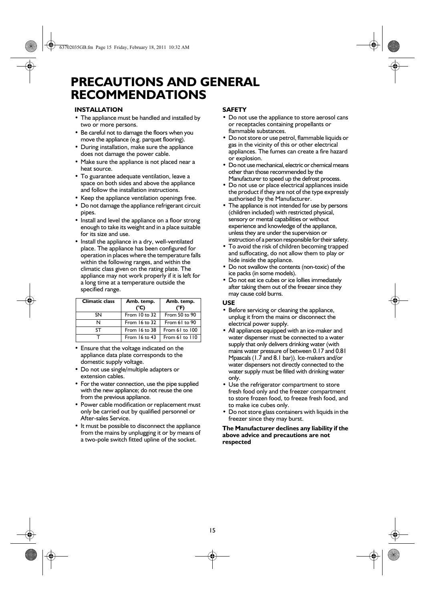### **PRECAUTIONS AND GENERAL RECOMMENDATIONS**

### **INSTALLATION**

- **•** The appliance must be handled and installed by two or more persons.
- **•** Be careful not to damage the floors when you move the appliance (e.g. parquet flooring).
- **•** During installation, make sure the appliance does not damage the power cable.
- **•** Make sure the appliance is not placed near a heat source.
- **•** To guarantee adequate ventilation, leave a space on both sides and above the appliance and follow the installation instructions.
- **•** Keep the appliance ventilation openings free.
- **•** Do not damage the appliance refrigerant circuit pipes.
- **•** Install and level the appliance on a floor strong enough to take its weight and in a place suitable for its size and use.
- **•** Install the appliance in a dry, well-ventilated place. The appliance has been configured for operation in places where the temperature falls within the following ranges, and within the climatic class given on the rating plate. The appliance may not work properly if it is left for a long time at a temperature outside the specified range.

| <b>Climatic class</b> | Amb. temp.<br>(°C) | Amb. temp.<br>(°F) |  |
|-----------------------|--------------------|--------------------|--|
| SΝ                    | From $10$ to $32$  | From 50 to 90      |  |
| N                     | From $16$ to $32$  | From 61 to 90      |  |
| SТ                    | From 16 to 38      | From 61 to 100     |  |
|                       | From $16$ to $43$  | From 61 to 110     |  |

- **•** Ensure that the voltage indicated on the appliance data plate corresponds to the domestic supply voltage.
- **•** Do not use single/multiple adapters or extension cables.
- **•** For the water connection, use the pipe supplied with the new appliance; do not reuse the one from the previous appliance.
- **•** Power cable modification or replacement must only be carried out by qualified personnel or After-sales Service.
- **•** It must be possible to disconnect the appliance from the mains by unplugging it or by means of a two-pole switch fitted upline of the socket.

### **SAFETY**

- **•** Do not use the appliance to store aerosol cans or receptacles containing propellants or flammable substances.
- **•** Do not store or use petrol, flammable liquids or gas in the vicinity of this or other electrical appliances. The fumes can create a fire hazard or explosion.
- **•** Do not use mechanical, electric or chemical means other than those recommended by the Manufacturer to speed up the defrost process.
- **•** Do not use or place electrical appliances inside the product if they are not of the type expressly authorised by the Manufacturer.
- **•** The appliance is not intended for use by persons (children included) with restricted physical, sensory or mental capabilities or without experience and knowledge of the appliance, unless they are under the supervision or instruction of a person responsible for their safety.
- **•** To avoid the risk of children becoming trapped and suffocating, do not allow them to play or hide inside the appliance.
- **•** Do not swallow the contents (non-toxic) of the ice packs (in some models).
- **•** Do not eat ice cubes or ice lollies immediately after taking them out of the freezer since they may cause cold burns.

### **USE**

- **•** Before servicing or cleaning the appliance, unplug it from the mains or disconnect the electrical power supply.
- **•** All appliances equipped with an ice-maker and water dispenser must be connected to a water supply that only delivers drinking water (with mains water pressure of between 0.17 and 0.81 Mpascals (1.7 and 8.1 bar)). Ice-makers and/or water dispensers not directly connected to the water supply must be filled with drinking water only.
- **•** Use the refrigerator compartment to store fresh food only and the freezer compartment to store frozen food, to freeze fresh food, and to make ice cubes only.
- **•** Do not store glass containers with liquids in the freezer since they may burst.

**The Manufacturer declines any liability if the above advice and precautions are not respected**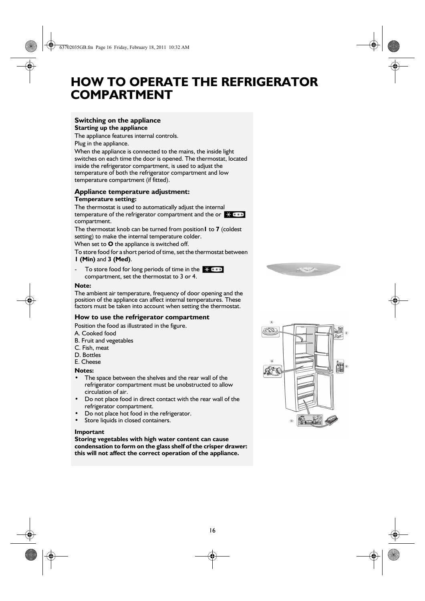### **HOW TO OPERATE THE REFRIGERATOR COMPARTMENT**

### **Switching on the appliance Starting up the appliance**

The appliance features internal controls. Plug in the appliance.

When the appliance is connected to the mains, the inside light switches on each time the door is opened. The thermostat, located inside the refrigerator compartment, is used to adjust the temperature of both the refrigerator compartment and low temperature compartment (if fitted).

### **Appliance temperature adjustment: Temperature setting:**

The thermostat is used to automatically adjust the internal temperature of the refrigerator compartment and the or  $\frac{1}{2}$  \* \* \* compartment.

The thermostat knob can be turned from position**1** to **7** (coldest setting) to make the internal temperature colder.

When set to **O** the appliance is switched off.

To store food for a short period of time, set the thermostat between **1 (Min)** and **3 (Med)**.

- To store food for long periods of time in the  $\frac{1}{2}$  \*\*\* compartment, set the thermostat to 3 or 4.

#### **Note:**

The ambient air temperature, frequency of door opening and the position of the appliance can affect internal temperatures. These factors must be taken into account when setting the thermostat.

### **How to use the refrigerator compartment**

Position the food as illustrated in the figure.

A. Cooked food

- B. Fruit and vegetables
- C. Fish, meat
- D. Bottles
- E. Cheese

#### **Notes:**

- **•** The space between the shelves and the rear wall of the refrigerator compartment must be unobstructed to allow circulation of air.
- **•** Do not place food in direct contact with the rear wall of the refrigerator compartment.
- **•** Do not place hot food in the refrigerator.
- **•** Store liquids in closed containers.

#### **Important**

**Storing vegetables with high water content can cause condensation to form on the glass shelf of the crisper drawer: this will not affect the correct operation of the appliance.**



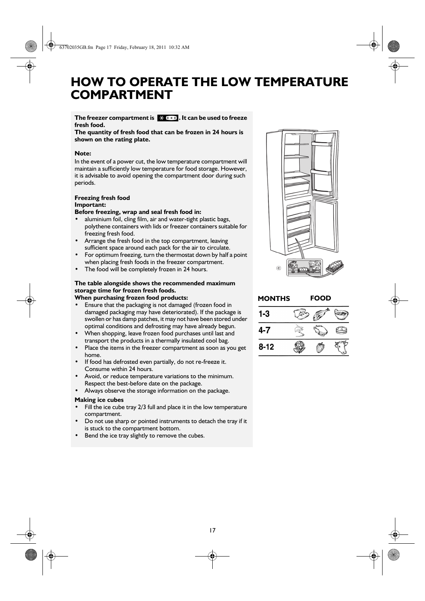### **HOW TO OPERATE THE LOW TEMPERATURE COMPARTMENT**

### The freezer compartment is  $\mathbb{R}$  \* \* \* . It can be used to freeze **fresh food.**

**The quantity of fresh food that can be frozen in 24 hours is shown on the rating plate.** 

### **Note:**

In the event of a power cut, the low temperature compartment will maintain a sufficiently low temperature for food storage. However, it is advisable to avoid opening the compartment door during such periods.

### **Freezing fresh food Important:**

**Before freezing, wrap and seal fresh food in:**

- **•** aluminium foil, cling film, air and water-tight plastic bags, polythene containers with lids or freezer containers suitable for freezing fresh food.
- **•** Arrange the fresh food in the top compartment, leaving sufficient space around each pack for the air to circulate.
- **•** For optimum freezing, turn the thermostat down by half a point when placing fresh foods in the freezer compartment.
- **•** The food will be completely frozen in 24 hours.

### **The table alongside shows the recommended maximum storage time for frozen fresh foods. When purchasing frozen food products:**

- **•** Ensure that the packaging is not damaged (frozen food in damaged packaging may have deteriorated). If the package is swollen or has damp patches, it may not have been stored under optimal conditions and defrosting may have already begun.
- **•** When shopping, leave frozen food purchases until last and transport the products in a thermally insulated cool bag.
- **•** Place the items in the freezer compartment as soon as you get home.
- **•** If food has defrosted even partially, do not re-freeze it. Consume within 24 hours.
- **•** Avoid, or reduce temperature variations to the minimum. Respect the best-before date on the package.
- **•** Always observe the storage information on the package.

#### **Making ice cubes**

- **•** Fill the ice cube tray 2/3 full and place it in the low temperature compartment.
- **•** Do not use sharp or pointed instruments to detach the tray if it is stuck to the compartment bottom.
- **•** Bend the ice tray slightly to remove the cubes.



| <b>MONTHS</b> | <b>FOOD</b> |  |  |
|---------------|-------------|--|--|
| 1-3           |             |  |  |
| 4-7           |             |  |  |
| $8 - 12$      |             |  |  |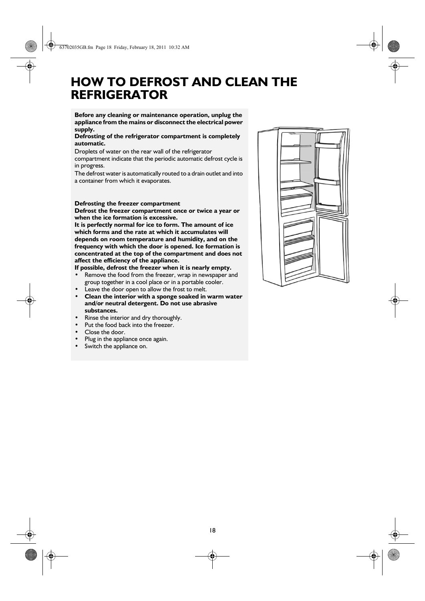### **HOW TO DEFROST AND CLEAN THE REFRIGERATOR**

### **Before any cleaning or maintenance operation, unplug the appliance from the mains or disconnect the electrical power supply.**

### **Defrosting of the refrigerator compartment is completely automatic.**

Droplets of water on the rear wall of the refrigerator

compartment indicate that the periodic automatic defrost cycle is in progress.

The defrost water is automatically routed to a drain outlet and into a container from which it evaporates.

### **Defrosting the freezer compartment**

**Defrost the freezer compartment once or twice a year or when the ice formation is excessive.**

**It is perfectly normal for ice to form. The amount of ice which forms and the rate at which it accumulates will depends on room temperature and humidity, and on the frequency with which the door is opened. Ice formation is concentrated at the top of the compartment and does not affect the efficiency of the appliance.**

**If possible, defrost the freezer when it is nearly empty.**

- **•** Remove the food from the freezer, wrap in newspaper and group together in a cool place or in a portable cooler.
- Leave the door open to allow the frost to melt.
- **Clean the interior with a sponge soaked in warm water and/or neutral detergent. Do not use abrasive substances.**
- **•** Rinse the interior and dry thoroughly.
- Put the food back into the freezer.
- **•** Close the door.
- **•** Plug in the appliance once again.
- **•** Switch the appliance on.

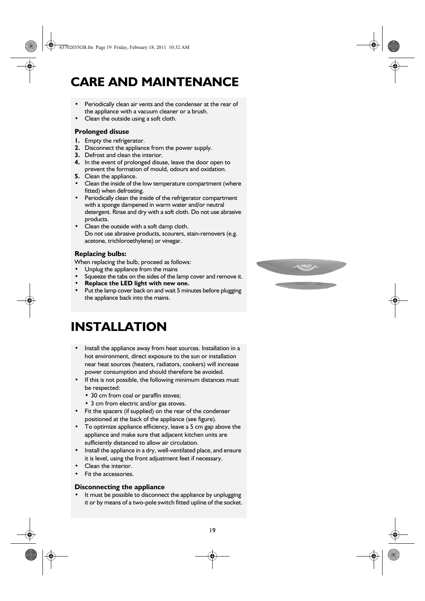### **CARE AND MAINTENANCE**

- **•** Periodically clean air vents and the condenser at the rear of the appliance with a vacuum cleaner or a brush.
- **•** Clean the outside using a soft cloth.

### **Prolonged disuse**

- **1.** Empty the refrigerator.
- **2.** Disconnect the appliance from the power supply.
- **3.** Defrost and clean the interior.
- **4.** In the event of prolonged disuse, leave the door open to prevent the formation of mould, odours and oxidation.
- **5.** Clean the appliance.
- **•** Clean the inside of the low temperature compartment (where fitted) when defrosting.
- **•** Periodically clean the inside of the refrigerator compartment with a sponge dampened in warm water and/or neutral detergent. Rinse and dry with a soft cloth. Do not use abrasive products.
- **•** Clean the outside with a soft damp cloth. Do not use abrasive products, scourers, stain-removers (e.g. acetone, trichloroethylene) or vinegar.

### **Replacing bulbs:**

When replacing the bulb, proceed as follows:

- **•** Unplug the appliance from the mains
- Squeeze the tabs on the sides of the lamp cover and remove it.
- **Replace the LED light with new one.**
- **•** Put the lamp cover back on and wait 5 minutes before plugging the appliance back into the mains.

### **INSTALLATION**

- **•** Install the appliance away from heat sources. Installation in a hot environment, direct exposure to the sun or installation near heat sources (heaters, radiators, cookers) will increase power consumption and should therefore be avoided.
- **•** If this is not possible, the following minimum distances must be respected:
	- **•** 30 cm from coal or paraffin stoves;
	- **•** 3 cm from electric and/or gas stoves.
- **•** Fit the spacers (if supplied) on the rear of the condenser positioned at the back of the appliance (see figure).
- **•** To optimize appliance efficiency, leave a 5 cm gap above the appliance and make sure that adjacent kitchen units are sufficiently distanced to allow air circulation.
- **•** Install the appliance in a dry, well-ventilated place, and ensure it is level, using the front adjustment feet if necessary.
- **•** Clean the interior.
- **•** Fit the accessories.

### **Disconnecting the appliance**

**•** It must be possible to disconnect the appliance by unplugging it or by means of a two-pole switch fitted upline of the socket.

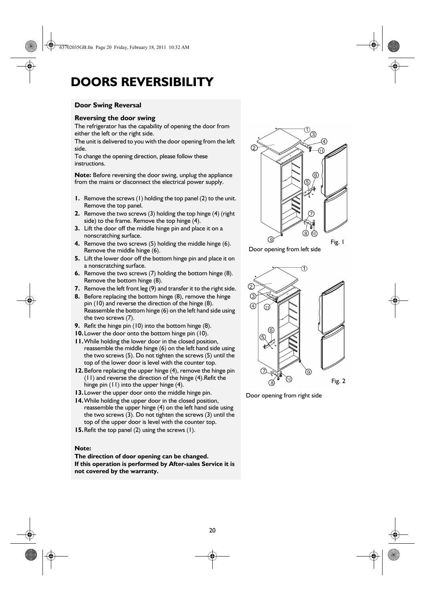### **DOORS REVERSIBILITY**

### **Door Swing Reversal**

#### **Reversing the door swing**

The refrigerator has the capability of opening the door from either the left or the right side.

The unit is delivered to you with the door opening from the left side.

To change the opening direction, please follow these instructions.

**Note:** Before reversing the door swing, unplug the appliance from the mains or disconnect the electrical power supply.

- **1.** Remove the screws (1) holding the top panel (2) to the unit. Remove the top panel.
- **2.** Remove the two screws (3) holding the top hinge (4) (right side) to the frame. Remove the top hinge (4).
- **3.** Lift the door off the middle hinge pin and place it on a nonscratching surface.
- **4.** Remove the two screws (5) holding the middle hinge (6). Remove the middle hinge (6).
- **5.** Lift the lower door off the bottom hinge pin and place it on a nonscratching surface.
- **6.** Remove the two screws (7) holding the bottom hinge (8). Remove the bottom hinge (8).
- **7.** Remove the left front leg (9) and transfer it to the right side.
- **8.** Before replacing the bottom hinge (8), remove the hinge pin (10) and reverse the direction of the hinge (8). Reassemble the bottom hinge (6) on the left hand side using the two screws (7).
- **9.** Refit the hinge pin (10) into the bottom hinge (8).
- **10.**Lower the door onto the bottom hinge pin (10).
- **11.**While holding the lower door in the closed position, reassemble the middle hinge (6) on the left hand side using the two screws (5). Do not tighten the screws (5) until the top of the lower door is level with the counter top.
- **12.**Before replacing the upper hinge (4), remove the hinge pin (11) and reverse the direction of the hinge (4).Refit the hinge pin (11) into the upper hinge (4).
- **13.**Lower the upper door onto the middle hinge pin.
- **14.**While holding the upper door in the closed position, reassemble the upper hinge (4) on the left hand side using the two screws (3). Do not tighten the screws (3) until the top of the upper door is level with the counter top.
- **15.**Refit the top panel (2) using the screws (1).

### **Note:**

**The direction of door opening can be changed. If this operation is performed by After-sales Service it is not covered by the warranty.**







Door opening from right side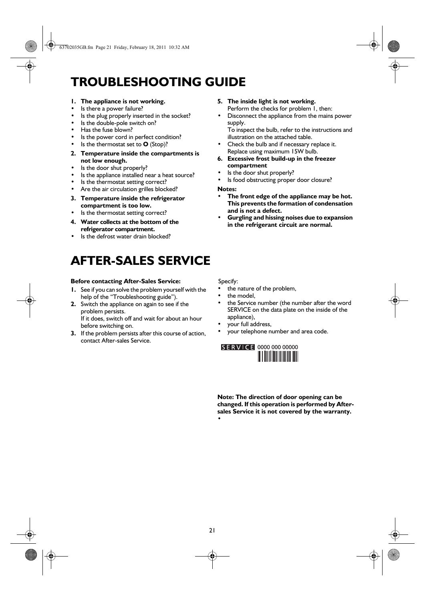## **TROUBLESHOOTING GUIDE**

- **1. The appliance is not working.**
- **•** Is there a power failure?
- **•** Is the plug properly inserted in the socket?
- **•** Is the double-pole switch on?
- **•** Has the fuse blown?
- **•** Is the power cord in perfect condition?
- **•** Is the thermostat set to **O** (Stop)?
- **2. Temperature inside the compartments is not low enough.**
- **•** Is the door shut properly?
- **•** Is the appliance installed near a heat source?
- **•** Is the thermostat setting correct?
- **•** Are the air circulation grilles blocked?
- **3. Temperature inside the refrigerator compartment is too low.**
- **•** Is the thermostat setting correct?
- **4. Water collects at the bottom of the refrigerator compartment.**
- **•** Is the defrost water drain blocked?

# **AFTER-SALES SERVICE**

#### **Before contacting After-Sales Service:**

- **1.** See if you can solve the problem yourself with the help of the "Troubleshooting guide").
- **2.** Switch the appliance on again to see if the problem persists. If it does, switch off and wait for about an hour

before switching on.

**3.** If the problem persists after this course of action, contact After-sales Service.

- **5. The inside light is not working.** Perform the checks for problem 1, then:
- **•** Disconnect the appliance from the mains power supply.

To inspect the bulb, refer to the instructions and illustration on the attached table.

- **•** Check the bulb and if necessary replace it. Replace using maximum 15W bulb.
- **6. Excessive frost build-up in the freezer compartment**
- **•** Is the door shut properly?
- **•** Is food obstructing proper door closure?

**Notes:**

- **The front edge of the appliance may be hot. This prevents the formation of condensation and is not a defect.**
- **Gurgling and hissing noises due to expansion in the refrigerant circuit are normal.**

Specify:

- **•** the nature of the problem,
- **•** the model,
- **•** the Service number (the number after the word SERVICE on the data plate on the inside of the appliance),
- **•** your full address,
- **•** your telephone number and area code.



**Note: The direction of door opening can be changed. If this operation is performed by Aftersales Service it is not covered by the warranty. •**